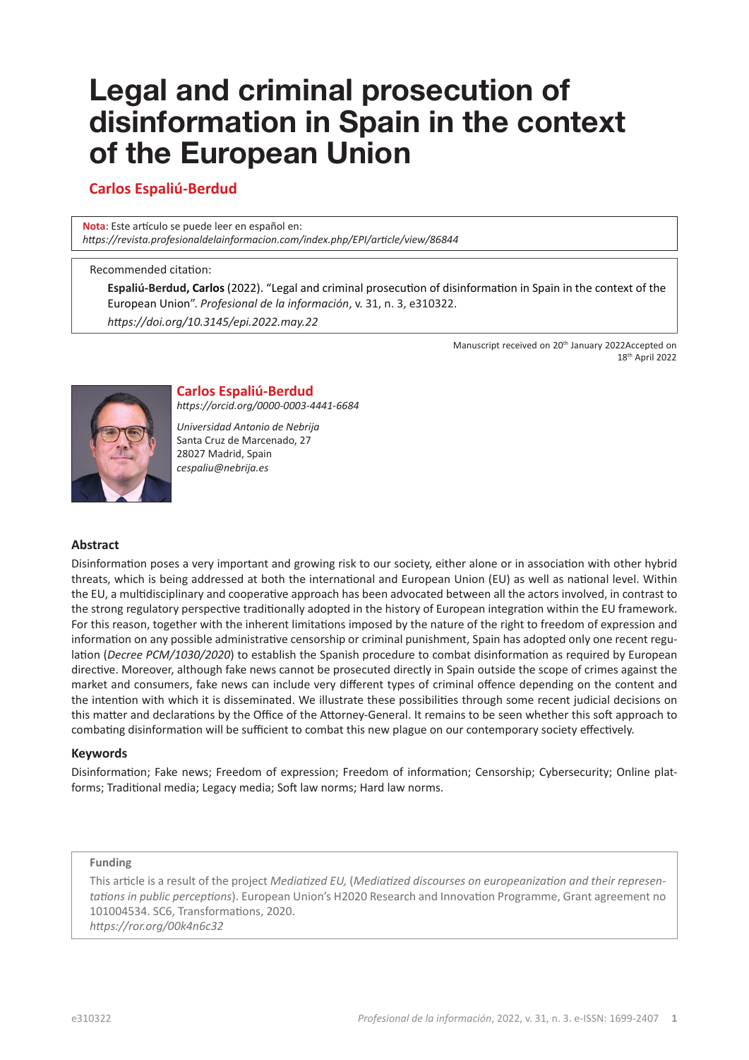# **Legal and criminal prosecution of disinformation in Spain in the context of the European Union**

# **Carlos Espaliú-Berdud**

**Nota**: Este artículo se puede leer en español en: *[https://revista.profesionaldelainformacion.com/index.php/EPI/article/view/8](https://revista.profesionaldelainformacion.com/index.php/EPI/article/view/86844)6844*

#### Recommended citation:

**Espaliú-Berdud, Carlos** (2022). "Legal and criminal prosecution of disinformation in Spain in the context of the European Union". *Profesional de la información*, v. 31, n. 3, e310322. *[https://doi.org/10.3145/epi.2022.ma](https://doi.org/10.3145/epi.2022.may.22)y.22*

> Manuscript received on 20<sup>th</sup> January 2022Accepted on 18th April 2022



# **Carlos Espaliú-Berdud**

*https://orcid.org/0000-0003-4441-6684*

*Universidad Antonio de Nebrija* Santa Cruz de Marcenado, 27 28027 Madrid, Spain *cespaliu@nebrija.es*

#### **Abstract**

Disinformation poses a very important and growing risk to our society, either alone or in association with other hybrid threats, which is being addressed at both the international and European Union (EU) as well as national level. Within the EU, a multidisciplinary and cooperative approach has been advocated between all the actors involved, in contrast to the strong regulatory perspective traditionally adopted in the history of European integration within the EU framework. For this reason, together with the inherent limitations imposed by the nature of the right to freedom of expression and information on any possible administrative censorship or criminal punishment, Spain has adopted only one recent regulation (*Decree PCM/1030/2020*) to establish the Spanish procedure to combat disinformation as required by European directive. Moreover, although fake news cannot be prosecuted directly in Spain outside the scope of crimes against the market and consumers, fake news can include very different types of criminal offence depending on the content and the intention with which it is disseminated. We illustrate these possibilities through some recent judicial decisions on this matter and declarations by the Office of the Attorney-General. It remains to be seen whether this soft approach to combating disinformation will be sufficient to combat this new plague on our contemporary society effectively.

#### **Keywords**

Disinformation; Fake news; Freedom of expression; Freedom of information; Censorship; Cybersecurity; Online platforms; Traditional media; Legacy media; Soft law norms; Hard law norms.

#### **Funding**

This article is a result of the project *Mediatized EU,* (*Mediatized discourses on europeanization and their representations in public perceptions*). European Union's H2020 Research and Innovation Programme, Grant agreement no 101004534. SC6, Transformations, 2020. *https://ror.org/00k4n6c32*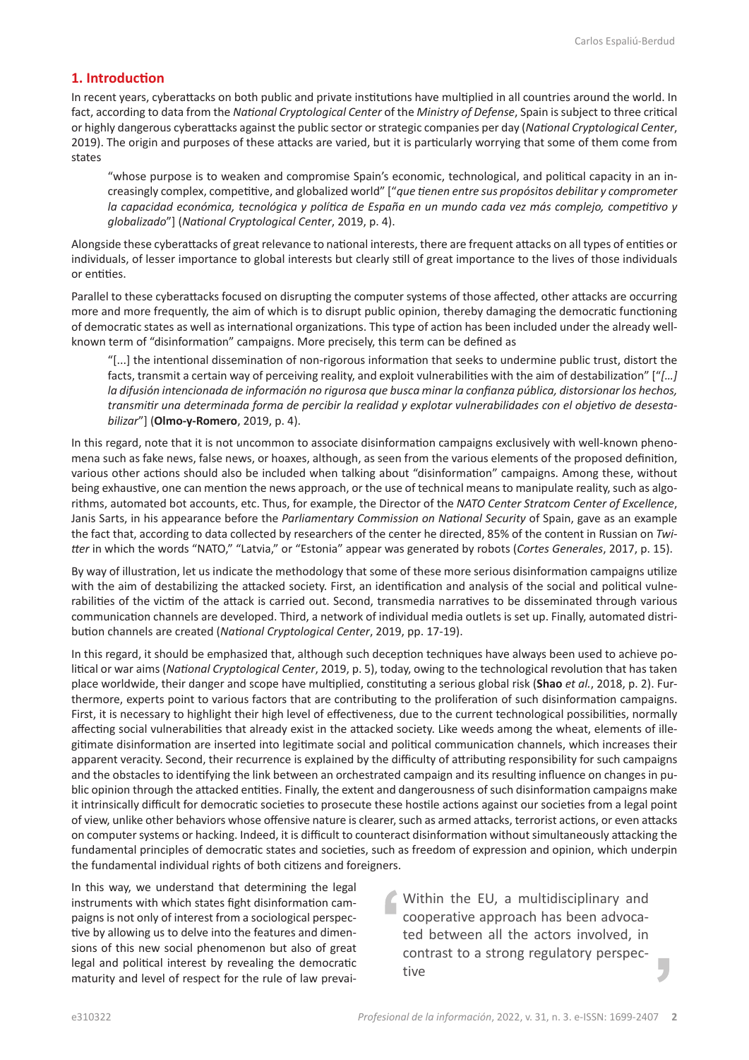#### **1. Introduction**

In recent years, cyberattacks on both public and private institutions have multiplied in all countries around the world. In fact, according to data from the *National Cryptological Center* of the *Ministry of Defense*, Spain is subject to three critical or highly dangerous cyberattacks against the public sector or strategic companies per day (*National Cryptological Center*, 2019). The origin and purposes of these attacks are varied, but it is particularly worrying that some of them come from states

"whose purpose is to weaken and compromise Spain's economic, technological, and political capacity in an increasingly complex, competitive, and globalized world" ["*que tienen entre sus propósitos debilitar y comprometer la capacidad económica, tecnológica y política de España en un mundo cada vez más complejo, competitivo y globalizado*"] (*National Cryptological Center*, 2019, p. 4).

Alongside these cyberattacks of great relevance to national interests, there are frequent attacks on all types of entities or individuals, of lesser importance to global interests but clearly still of great importance to the lives of those individuals or entities.

Parallel to these cyberattacks focused on disrupting the computer systems of those affected, other attacks are occurring more and more frequently, the aim of which is to disrupt public opinion, thereby damaging the democratic functioning of democratic states as well as international organizations. This type of action has been included under the already wellknown term of "disinformation" campaigns. More precisely, this term can be defined as

"[...] the intentional dissemination of non-rigorous information that seeks to undermine public trust, distort the facts, transmit a certain way of perceiving reality, and exploit vulnerabilities with the aim of destabilization" ["*[…]*  la difusión intencionada de información no rigurosa que busca minar la confianza pública, distorsionar los hechos, *transmitir una determinada forma de percibir la realidad y explotar vulnerabilidades con el objetivo de desestabilizar*"] (**Olmo-y-Romero**, 2019, p. 4).

In this regard, note that it is not uncommon to associate disinformation campaigns exclusively with well-known phenomena such as fake news, false news, or hoaxes, although, as seen from the various elements of the proposed definition, various other actions should also be included when talking about "disinformation" campaigns. Among these, without being exhaustive, one can mention the news approach, or the use of technical means to manipulate reality, such as algorithms, automated bot accounts, etc. Thus, for example, the Director of the *NATO Center Stratcom Center of Excellence*, Janis Sarts, in his appearance before the *Parliamentary Commission on National Security* of Spain, gave as an example the fact that, according to data collected by researchers of the center he directed, 85% of the content in Russian on *Twitter* in which the words "NATO," "Latvia," or "Estonia" appear was generated by robots (*Cortes Generales*, 2017, p. 15).

By way of illustration, let us indicate the methodology that some of these more serious disinformation campaigns utilize with the aim of destabilizing the attacked society. First, an identification and analysis of the social and political vulnerabilities of the victim of the attack is carried out. Second, transmedia narratives to be disseminated through various communication channels are developed. Third, a network of individual media outlets is set up. Finally, automated distribution channels are created (*National Cryptological Center*, 2019, pp. 17-19).

In this regard, it should be emphasized that, although such deception techniques have always been used to achieve political or war aims (*National Cryptological Center*, 2019, p. 5), today, owing to the technological revolution that has taken place worldwide, their danger and scope have multiplied, constituting a serious global risk (**Shao** *et al.*, 2018, p. 2). Furthermore, experts point to various factors that are contributing to the proliferation of such disinformation campaigns. First, it is necessary to highlight their high level of effectiveness, due to the current technological possibilities, normally affecting social vulnerabilities that already exist in the attacked society. Like weeds among the wheat, elements of illegitimate disinformation are inserted into legitimate social and political communication channels, which increases their apparent veracity. Second, their recurrence is explained by the difficulty of attributing responsibility for such campaigns and the obstacles to identifying the link between an orchestrated campaign and its resulting influence on changes in public opinion through the attacked entities. Finally, the extent and dangerousness of such disinformation campaigns make it intrinsically difficult for democratic societies to prosecute these hostile actions against our societies from a legal point of view, unlike other behaviors whose offensive nature is clearer, such as armed attacks, terrorist actions, or even attacks on computer systems or hacking. Indeed, it is difficult to counteract disinformation without simultaneously attacking the fundamental principles of democratic states and societies, such as freedom of expression and opinion, which underpin the fundamental individual rights of both citizens and foreigners.

In this way, we understand that determining the legal instruments with which states fight disinformation campaigns is not only of interest from a sociological perspective by allowing us to delve into the features and dimensions of this new social phenomenon but also of great legal and political interest by revealing the democratic maturity and level of respect for the rule of law prevai-

Within the EU, a multidisciplinary and cooperative approach has been advocated between all the actors involved, in contrast to a strong regulatory perspective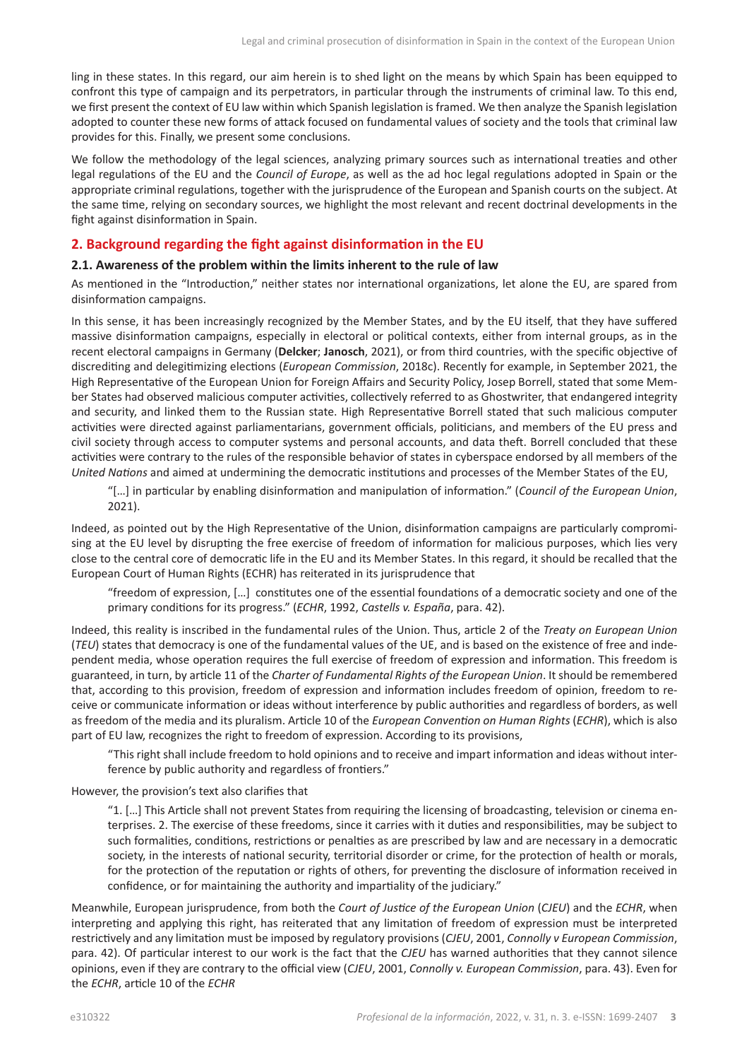ling in these states. In this regard, our aim herein is to shed light on the means by which Spain has been equipped to confront this type of campaign and its perpetrators, in particular through the instruments of criminal law. To this end, we first present the context of EU law within which Spanish legislation is framed. We then analyze the Spanish legislation adopted to counter these new forms of attack focused on fundamental values of society and the tools that criminal law provides for this. Finally, we present some conclusions.

We follow the methodology of the legal sciences, analyzing primary sources such as international treaties and other legal regulations of the EU and the *Council of Europe*, as well as the ad hoc legal regulations adopted in Spain or the appropriate criminal regulations, together with the jurisprudence of the European and Spanish courts on the subject. At the same time, relying on secondary sources, we highlight the most relevant and recent doctrinal developments in the fight against disinformation in Spain.

# **2. Background regarding the fight against disinformation in the EU**

#### **2.1. Awareness of the problem within the limits inherent to the rule of law**

As mentioned in the "Introduction," neither states nor international organizations, let alone the EU, are spared from disinformation campaigns.

In this sense, it has been increasingly recognized by the Member States, and by the EU itself, that they have suffered massive disinformation campaigns, especially in electoral or political contexts, either from internal groups, as in the recent electoral campaigns in Germany (**Delcker**; **Janosch**, 2021), or from third countries, with the specific objective of discrediting and delegitimizing elections (*European Commission*, 2018c). Recently for example, in September 2021, the High Representative of the European Union for Foreign Affairs and Security Policy, Josep Borrell, stated that some Member States had observed malicious computer activities, collectively referred to as Ghostwriter, that endangered integrity and security, and linked them to the Russian state. High Representative Borrell stated that such malicious computer activities were directed against parliamentarians, government officials, politicians, and members of the EU press and civil society through access to computer systems and personal accounts, and data theft. Borrell concluded that these activities were contrary to the rules of the responsible behavior of states in cyberspace endorsed by all members of the *United Nations* and aimed at undermining the democratic institutions and processes of the Member States of the EU,

"[…] in particular by enabling disinformation and manipulation of information." (*Council of the European Union*, 2021).

Indeed, as pointed out by the High Representative of the Union, disinformation campaigns are particularly compromising at the EU level by disrupting the free exercise of freedom of information for malicious purposes, which lies very close to the central core of democratic life in the EU and its Member States. In this regard, it should be recalled that the European Court of Human Rights (ECHR) has reiterated in its jurisprudence that

"freedom of expression, […] constitutes one of the essential foundations of a democratic society and one of the primary conditions for its progress." (*ECHR*, 1992, *Castells v. España*, para. 42).

Indeed, this reality is inscribed in the fundamental rules of the Union. Thus, article 2 of the *Treaty on European Union* (*TEU*) states that democracy is one of the fundamental values of the UE, and is based on the existence of free and independent media, whose operation requires the full exercise of freedom of expression and information. This freedom is guaranteed, in turn, by article 11 of the *Charter of Fundamental Rights of the European Union*. It should be remembered that, according to this provision, freedom of expression and information includes freedom of opinion, freedom to receive or communicate information or ideas without interference by public authorities and regardless of borders, as well as freedom of the media and its pluralism. Article 10 of the *European Convention on Human Rights* (*ECHR*), which is also part of EU law, recognizes the right to freedom of expression. According to its provisions,

"This right shall include freedom to hold opinions and to receive and impart information and ideas without interference by public authority and regardless of frontiers."

However, the provision's text also clarifies that

"1. […] This Article shall not prevent States from requiring the licensing of broadcasting, television or cinema enterprises. 2. The exercise of these freedoms, since it carries with it duties and responsibilities, may be subject to such formalities, conditions, restrictions or penalties as are prescribed by law and are necessary in a democratic society, in the interests of national security, territorial disorder or crime, for the protection of health or morals, for the protection of the reputation or rights of others, for preventing the disclosure of information received in confidence, or for maintaining the authority and impartiality of the judiciary."

Meanwhile, European jurisprudence, from both the *Court of Justice of the European Union* (*CJEU*) and the *ECHR*, when interpreting and applying this right, has reiterated that any limitation of freedom of expression must be interpreted restrictively and any limitation must be imposed by regulatory provisions (*CJEU*, 2001, *Connolly v European Commission*, para. 42). Of particular interest to our work is the fact that the *CJEU* has warned authorities that they cannot silence opinions, even if they are contrary to the official view (*CJEU*, 2001, *Connolly v. European Commission*, para. 43). Even for the *ECHR*, article 10 of the *ECHR*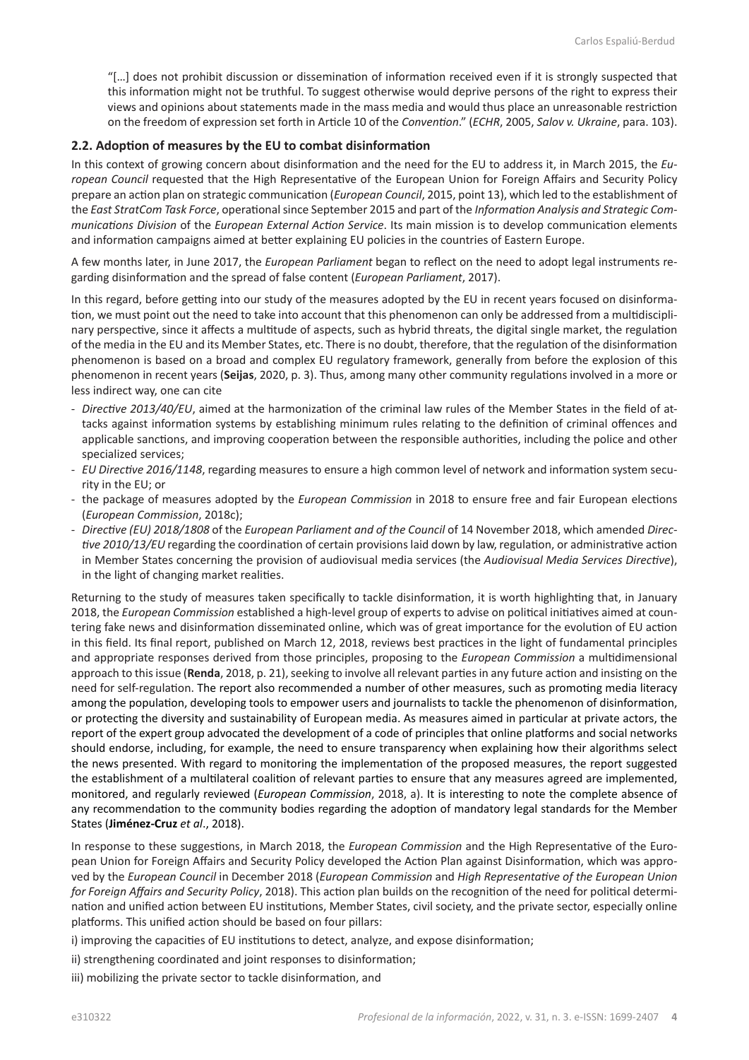"[…] does not prohibit discussion or dissemination of information received even if it is strongly suspected that this information might not be truthful. To suggest otherwise would deprive persons of the right to express their views and opinions about statements made in the mass media and would thus place an unreasonable restriction on the freedom of expression set forth in Article 10 of the *Convention*." (*ECHR*, 2005, *Salov v. Ukraine*, para. 103).

#### **2.2. Adoption of measures by the EU to combat disinformation**

In this context of growing concern about disinformation and the need for the EU to address it, in March 2015, the *European Council* requested that the High Representative of the European Union for Foreign Affairs and Security Policy prepare an action plan on strategic communication (*European Council*, 2015, point 13), which led to the establishment of the *East StratCom Task Force*, operational since September 2015 and part of the *Information Analysis and Strategic Communications Division* of the *European External Action Service*. Its main mission is to develop communication elements and information campaigns aimed at better explaining EU policies in the countries of Eastern Europe.

A few months later, in June 2017, the *European Parliament* began to reflect on the need to adopt legal instruments regarding disinformation and the spread of false content (*European Parliament*, 2017).

In this regard, before getting into our study of the measures adopted by the EU in recent years focused on disinformation, we must point out the need to take into account that this phenomenon can only be addressed from a multidisciplinary perspective, since it affects a multitude of aspects, such as hybrid threats, the digital single market, the regulation of the media in the EU and its Member States, etc. There is no doubt, therefore, that the regulation of the disinformation phenomenon is based on a broad and complex EU regulatory framework, generally from before the explosion of this phenomenon in recent years (**Seijas**, 2020, p. 3). Thus, among many other community regulations involved in a more or less indirect way, one can cite

- *Directive 2013/40/EU*, aimed at the harmonization of the criminal law rules of the Member States in the field of attacks against information systems by establishing minimum rules relating to the definition of criminal offences and applicable sanctions, and improving cooperation between the responsible authorities, including the police and other specialized services;
- *EU Directive 2016/1148*, regarding measures to ensure a high common level of network and information system security in the EU; or
- the package of measures adopted by the *European Commission* in 2018 to ensure free and fair European elections (*European Commission*, 2018c);
- *Directive (EU) 2018/1808* of the *European Parliament and of the Council* of 14 November 2018, which amended *Directive 2010/13/EU* regarding the coordination of certain provisions laid down by law, regulation, or administrative action in Member States concerning the provision of audiovisual media services (the *Audiovisual Media Services Directive*), in the light of changing market realities.

Returning to the study of measures taken specifically to tackle disinformation, it is worth highlighting that, in January 2018, the *European Commission* established a high-level group of experts to advise on political initiatives aimed at countering fake news and disinformation disseminated online, which was of great importance for the evolution of EU action in this field. Its final report, published on March 12, 2018, reviews best practices in the light of fundamental principles and appropriate responses derived from those principles, proposing to the *European Commission* a multidimensional approach to this issue (**Renda**, 2018, p. 21), seeking to involve all relevant parties in any future action and insisting on the need for self-regulation. The report also recommended a number of other measures, such as promoting media literacy among the population, developing tools to empower users and journalists to tackle the phenomenon of disinformation, or protecting the diversity and sustainability of European media. As measures aimed in particular at private actors, the report of the expert group advocated the development of a code of principles that online platforms and social networks should endorse, including, for example, the need to ensure transparency when explaining how their algorithms select the news presented. With regard to monitoring the implementation of the proposed measures, the report suggested the establishment of a multilateral coalition of relevant parties to ensure that any measures agreed are implemented, monitored, and regularly reviewed (*European Commission*, 2018, a). It is interesting to note the complete absence of any recommendation to the community bodies regarding the adoption of mandatory legal standards for the Member States (**Jiménez-Cruz** *et al*., 2018).

In response to these suggestions, in March 2018, the *European Commission* and the High Representative of the European Union for Foreign Affairs and Security Policy developed the Action Plan against Disinformation, which was approved by the *European Council* in December 2018 (*European Commission* and *High Representative of the European Union for Foreign Affairs and Security Policy*, 2018). This action plan builds on the recognition of the need for political determination and unified action between EU institutions, Member States, civil society, and the private sector, especially online platforms. This unified action should be based on four pillars:

i) improving the capacities of EU institutions to detect, analyze, and expose disinformation;

ii) strengthening coordinated and joint responses to disinformation;

iii) mobilizing the private sector to tackle disinformation, and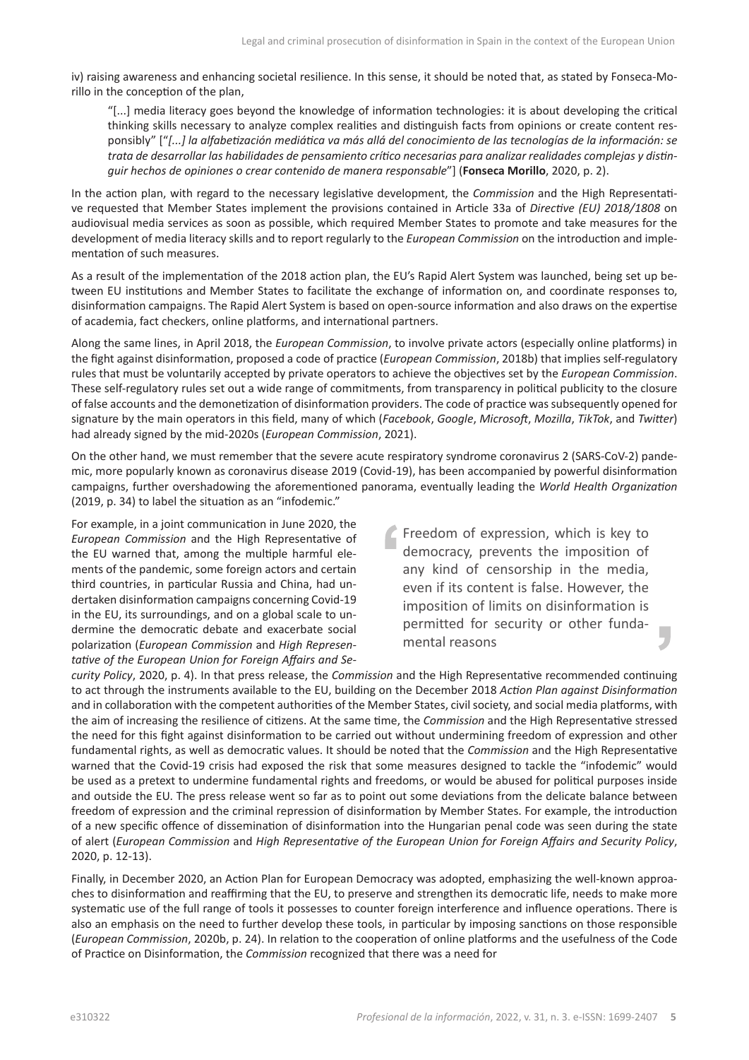iv) raising awareness and enhancing societal resilience. In this sense, it should be noted that, as stated by Fonseca-Morillo in the conception of the plan,

"[...] media literacy goes beyond the knowledge of information technologies: it is about developing the critical thinking skills necessary to analyze complex realities and distinguish facts from opinions or create content responsibly" ["*[...] la alfabetización mediática va más allá del conocimiento de las tecnologías de la información: se trata de desarrollar las habilidades de pensamiento crítico necesarias para analizar realidades complejas y distinguir hechos de opiniones o crear contenido de manera responsable*"] (**Fonseca Morillo**, 2020, p. 2).

In the action plan, with regard to the necessary legislative development, the *Commission* and the High Representative requested that Member States implement the provisions contained in Article 33a of *Directive (EU) 2018/1808* on audiovisual media services as soon as possible, which required Member States to promote and take measures for the development of media literacy skills and to report regularly to the *European Commission* on the introduction and implementation of such measures.

As a result of the implementation of the 2018 action plan, the EU's Rapid Alert System was launched, being set up between EU institutions and Member States to facilitate the exchange of information on, and coordinate responses to, disinformation campaigns. The Rapid Alert System is based on open-source information and also draws on the expertise of academia, fact checkers, online platforms, and international partners.

Along the same lines, in April 2018, the *European Commission*, to involve private actors (especially online platforms) in the fight against disinformation, proposed a code of practice (*European Commission*, 2018b) that implies self-regulatory rules that must be voluntarily accepted by private operators to achieve the objectives set by the *European Commission*. These self-regulatory rules set out a wide range of commitments, from transparency in political publicity to the closure of false accounts and the demonetization of disinformation providers. The code of practice was subsequently opened for signature by the main operators in this field, many of which (*Facebook*, *Google*, *Microsoft*, *Mozilla*, *TikTok*, and *Twitter*) had already signed by the mid-2020s (*European Commission*, 2021).

On the other hand, we must remember that the severe acute respiratory syndrome coronavirus 2 (SARS-CoV-2) pandemic, more popularly known as coronavirus disease 2019 (Covid-19), has been accompanied by powerful disinformation campaigns, further overshadowing the aforementioned panorama, eventually leading the *World Health Organization* (2019, p. 34) to label the situation as an "infodemic."

For example, in a joint communication in June 2020, the *European Commission* and the High Representative of the EU warned that, among the multiple harmful elements of the pandemic, some foreign actors and certain third countries, in particular Russia and China, had undertaken disinformation campaigns concerning Covid-19 in the EU, its surroundings, and on a global scale to undermine the democratic debate and exacerbate social polarization (*European Commission* and *High Representative of the European Union for Foreign Affairs and Se-*

Freedom of expression, which is key to democracy, prevents the imposition of any kind of censorship in the media, even if its content is false. However, the imposition of limits on disinformation is permitted for security or other fundamental reasons

*curity Policy*, 2020, p. 4). In that press release, the *Commission* and the High Representative recommended continuing to act through the instruments available to the EU, building on the December 2018 *Action Plan against Disinformation* and in collaboration with the competent authorities of the Member States, civil society, and social media platforms, with the aim of increasing the resilience of citizens. At the same time, the *Commission* and the High Representative stressed the need for this fight against disinformation to be carried out without undermining freedom of expression and other fundamental rights, as well as democratic values. It should be noted that the *Commission* and the High Representative warned that the Covid-19 crisis had exposed the risk that some measures designed to tackle the "infodemic" would be used as a pretext to undermine fundamental rights and freedoms, or would be abused for political purposes inside and outside the EU. The press release went so far as to point out some deviations from the delicate balance between freedom of expression and the criminal repression of disinformation by Member States. For example, the introduction of a new specific offence of dissemination of disinformation into the Hungarian penal code was seen during the state of alert (*European Commission* and *High Representative of the European Union for Foreign Affairs and Security Policy*, 2020, p. 12-13).

Finally, in December 2020, an Action Plan for European Democracy was adopted, emphasizing the well-known approaches to disinformation and reaffirming that the EU, to preserve and strengthen its democratic life, needs to make more systematic use of the full range of tools it possesses to counter foreign interference and influence operations. There is also an emphasis on the need to further develop these tools, in particular by imposing sanctions on those responsible (*European Commission*, 2020b, p. 24). In relation to the cooperation of online platforms and the usefulness of the Code of Practice on Disinformation, the *Commission* recognized that there was a need for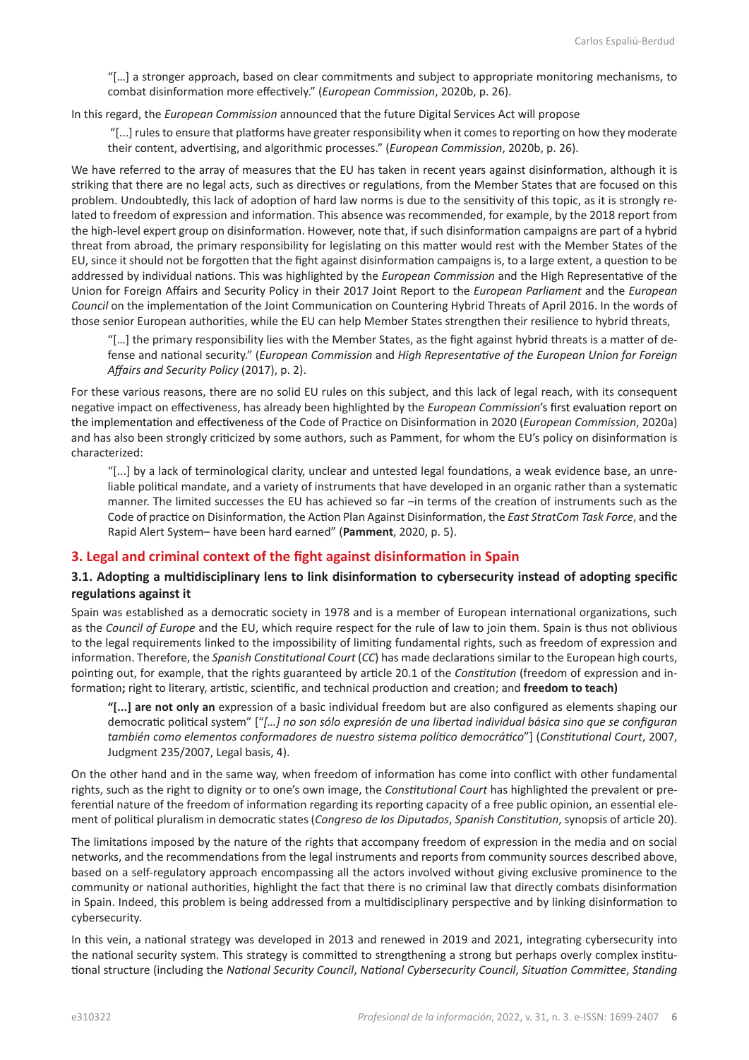"[…] a stronger approach, based on clear commitments and subject to appropriate monitoring mechanisms, to combat disinformation more effectively." (*European Commission*, 2020b, p. 26).

In this regard, the *European Commission* announced that the future Digital Services Act will propose

 "[...] rules to ensure that platforms have greater responsibility when it comes to reporting on how they moderate their content, advertising, and algorithmic processes." (*European Commission*, 2020b, p. 26).

We have referred to the array of measures that the EU has taken in recent years against disinformation, although it is striking that there are no legal acts, such as directives or regulations, from the Member States that are focused on this problem. Undoubtedly, this lack of adoption of hard law norms is due to the sensitivity of this topic, as it is strongly related to freedom of expression and information. This absence was recommended, for example, by the 2018 report from the high-level expert group on disinformation. However, note that, if such disinformation campaigns are part of a hybrid threat from abroad, the primary responsibility for legislating on this matter would rest with the Member States of the EU, since it should not be forgotten that the fight against disinformation campaigns is, to a large extent, a question to be addressed by individual nations. This was highlighted by the *European Commission* and the High Representative of the Union for Foreign Affairs and Security Policy in their 2017 Joint Report to the *European Parliament* and the *European Council* on the implementation of the Joint Communication on Countering Hybrid Threats of April 2016. In the words of those senior European authorities, while the EU can help Member States strengthen their resilience to hybrid threats,

"[…] the primary responsibility lies with the Member States, as the fight against hybrid threats is a matter of defense and national security." (*European Commission* and *High Representative of the European Union for Foreign Affairs and Security Policy* (2017), p. 2).

For these various reasons, there are no solid EU rules on this subject, and this lack of legal reach, with its consequent negative impact on effectiveness, has already been highlighted by the *European Commission*'s first evaluation report on the implementation and effectiveness of the Code of Practice on Disinformation in 2020 (*European Commission*, 2020a) and has also been strongly criticized by some authors, such as Pamment, for whom the EU's policy on disinformation is characterized:

"[...] by a lack of terminological clarity, unclear and untested legal foundations, a weak evidence base, an unreliable political mandate, and a variety of instruments that have developed in an organic rather than a systematic manner. The limited successes the EU has achieved so far –in terms of the creation of instruments such as the Code of practice on Disinformation, the Action Plan Against Disinformation, the *East StratCom Task Force*, and the Rapid Alert System– have been hard earned" (**Pamment**, 2020, p. 5).

#### **3. Legal and criminal context of the fight against disinformation in Spain**

### **3.1. Adopting a multidisciplinary lens to link disinformation to cybersecurity instead of adopting specific regulations against it**

Spain was established as a democratic society in 1978 and is a member of European international organizations, such as the *Council of Europe* and the EU, which require respect for the rule of law to join them. Spain is thus not oblivious to the legal requirements linked to the impossibility of limiting fundamental rights, such as freedom of expression and information. Therefore, the *Spanish Constitutional Court* (*CC*) has made declarations similar to the European high courts, pointing out, for example, that the rights guaranteed by article 20.1 of the *Constitution* (freedom of expression and information**;** right to literary, artistic, scientific, and technical production and creation; and **freedom to teach)** 

**"[...] are not only an** expression of a basic individual freedom but are also configured as elements shaping our democratic political system" ["*[…] no son sólo expresión de una libertad individual básica sino que se configuran también como elementos conformadores de nuestro sistema político democrático*"] (*Constitutional Court*, 2007, Judgment 235/2007, Legal basis, 4).

On the other hand and in the same way, when freedom of information has come into conflict with other fundamental rights, such as the right to dignity or to one's own image, the *Constitutional Court* has highlighted the prevalent or preferential nature of the freedom of information regarding its reporting capacity of a free public opinion, an essential element of political pluralism in democratic states (*Congreso de los Diputados*, *Spanish Constitution*, synopsis of article 20).

The limitations imposed by the nature of the rights that accompany freedom of expression in the media and on social networks, and the recommendations from the legal instruments and reports from community sources described above, based on a self-regulatory approach encompassing all the actors involved without giving exclusive prominence to the community or national authorities, highlight the fact that there is no criminal law that directly combats disinformation in Spain. Indeed, this problem is being addressed from a multidisciplinary perspective and by linking disinformation to cybersecurity.

In this vein, a national strategy was developed in 2013 and renewed in 2019 and 2021, integrating cybersecurity into the national security system. This strategy is committed to strengthening a strong but perhaps overly complex institutional structure (including the *National Security Council*, *National Cybersecurity Council*, *Situation Committee*, *Standing*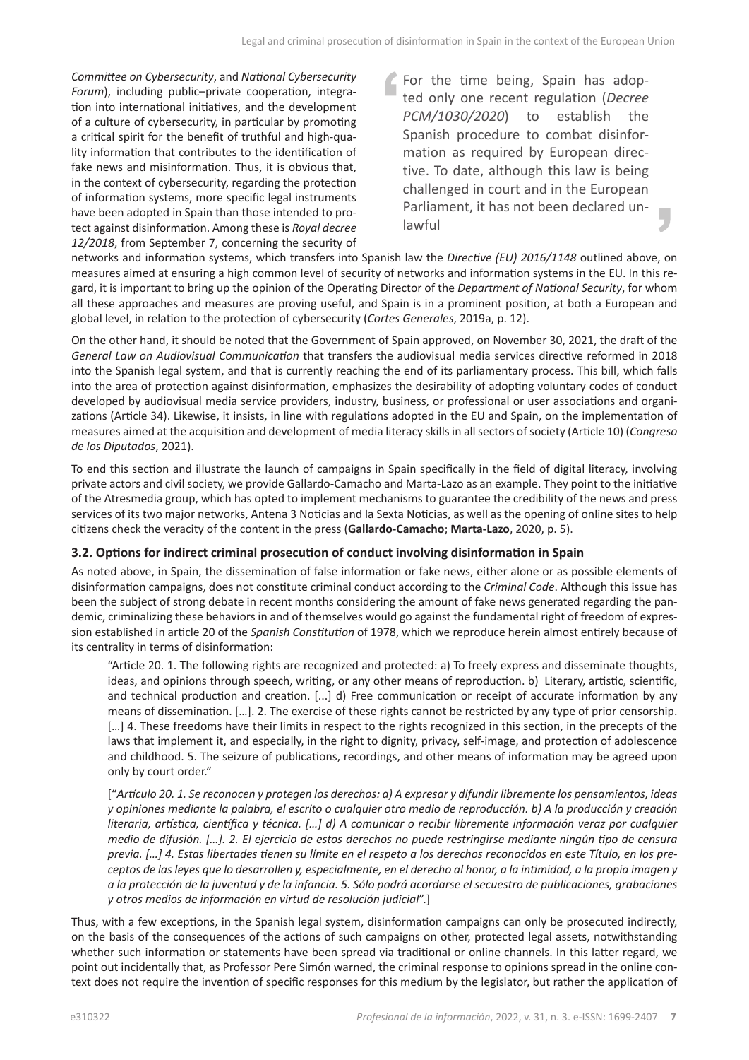*Committee on Cybersecurity*, and *National Cybersecurity Forum*), including public–private cooperation, integration into international initiatives, and the development of a culture of cybersecurity, in particular by promoting a critical spirit for the benefit of truthful and high-quality information that contributes to the identification of fake news and misinformation. Thus, it is obvious that, in the context of cybersecurity, regarding the protection of information systems, more specific legal instruments have been adopted in Spain than those intended to protect against disinformation. Among these is *Royal decree 12/2018*, from September 7, concerning the security of For the time being, Spain has adopted only one recent regulation (*Decree PCM/1030/2020*) to establish the Spanish procedure to combat disinformation as required by European directive. To date, although this law is being challenged in court and in the European Parliament, it has not been declared unlawful

networks and information systems, which transfers into Spanish law the *Directive (EU) 2016/1148* outlined above, on measures aimed at ensuring a high common level of security of networks and information systems in the EU. In this regard, it is important to bring up the opinion of the Operating Director of the *Department of National Security*, for whom all these approaches and measures are proving useful, and Spain is in a prominent position, at both a European and global level, in relation to the protection of cybersecurity (*Cortes Generales*, 2019a, p. 12).

On the other hand, it should be noted that the Government of Spain approved, on November 30, 2021, the draft of the *General Law on Audiovisual Communication* that transfers the audiovisual media services directive reformed in 2018 into the Spanish legal system, and that is currently reaching the end of its parliamentary process. This bill, which falls into the area of protection against disinformation, emphasizes the desirability of adopting voluntary codes of conduct developed by audiovisual media service providers, industry, business, or professional or user associations and organizations (Article 34). Likewise, it insists, in line with regulations adopted in the EU and Spain, on the implementation of measures aimed at the acquisition and development of media literacy skills in all sectors of society (Article 10) (*Congreso de los Diputados*, 2021).

To end this section and illustrate the launch of campaigns in Spain specifically in the field of digital literacy, involving private actors and civil society, we provide Gallardo-Camacho and Marta-Lazo as an example. They point to the initiative of the Atresmedia group, which has opted to implement mechanisms to guarantee the credibility of the news and press services of its two major networks, Antena 3 Noticias and la Sexta Noticias, as well as the opening of online sites to help citizens check the veracity of the content in the press (**Gallardo-Camacho**; **Marta-Lazo**, 2020, p. 5).

#### **3.2. Options for indirect criminal prosecution of conduct involving disinformation in Spain**

As noted above, in Spain, the dissemination of false information or fake news, either alone or as possible elements of disinformation campaigns, does not constitute criminal conduct according to the *Criminal Code*. Although this issue has been the subject of strong debate in recent months considering the amount of fake news generated regarding the pandemic, criminalizing these behaviors in and of themselves would go against the fundamental right of freedom of expression established in article 20 of the *Spanish Constitution* of 1978, which we reproduce herein almost entirely because of its centrality in terms of disinformation:

"Article 20. 1. The following rights are recognized and protected: a) To freely express and disseminate thoughts, ideas, and opinions through speech, writing, or any other means of reproduction. b) Literary, artistic, scientific, and technical production and creation. [...] d) Free communication or receipt of accurate information by any means of dissemination. […]. 2. The exercise of these rights cannot be restricted by any type of prior censorship. [...] 4. These freedoms have their limits in respect to the rights recognized in this section, in the precepts of the laws that implement it, and especially, in the right to dignity, privacy, self-image, and protection of adolescence and childhood. 5. The seizure of publications, recordings, and other means of information may be agreed upon only by court order."

["*Artículo 20. 1. Se reconocen y protegen los derechos: a) A expresar y difundir libremente los pensamientos, ideas y opiniones mediante la palabra, el escrito o cualquier otro medio de reproducción. b) A la producción y creación literaria, artística, científica y técnica. […] d) A comunicar o recibir libremente información veraz por cualquier medio de difusión. […]. 2. El ejercicio de estos derechos no puede restringirse mediante ningún tipo de censura previa. […] 4. Estas libertades tienen su límite en el respeto a los derechos reconocidos en este Título, en los preceptos de las leyes que lo desarrollen y, especialmente, en el derecho al honor, a la intimidad, a la propia imagen y a la protección de la juventud y de la infancia. 5. Sólo podrá acordarse el secuestro de publicaciones, grabaciones y otros medios de información en virtud de resolución judicial*".]

Thus, with a few exceptions, in the Spanish legal system, disinformation campaigns can only be prosecuted indirectly, on the basis of the consequences of the actions of such campaigns on other, protected legal assets, notwithstanding whether such information or statements have been spread via traditional or online channels. In this latter regard, we point out incidentally that, as Professor Pere Simón warned, the criminal response to opinions spread in the online context does not require the invention of specific responses for this medium by the legislator, but rather the application of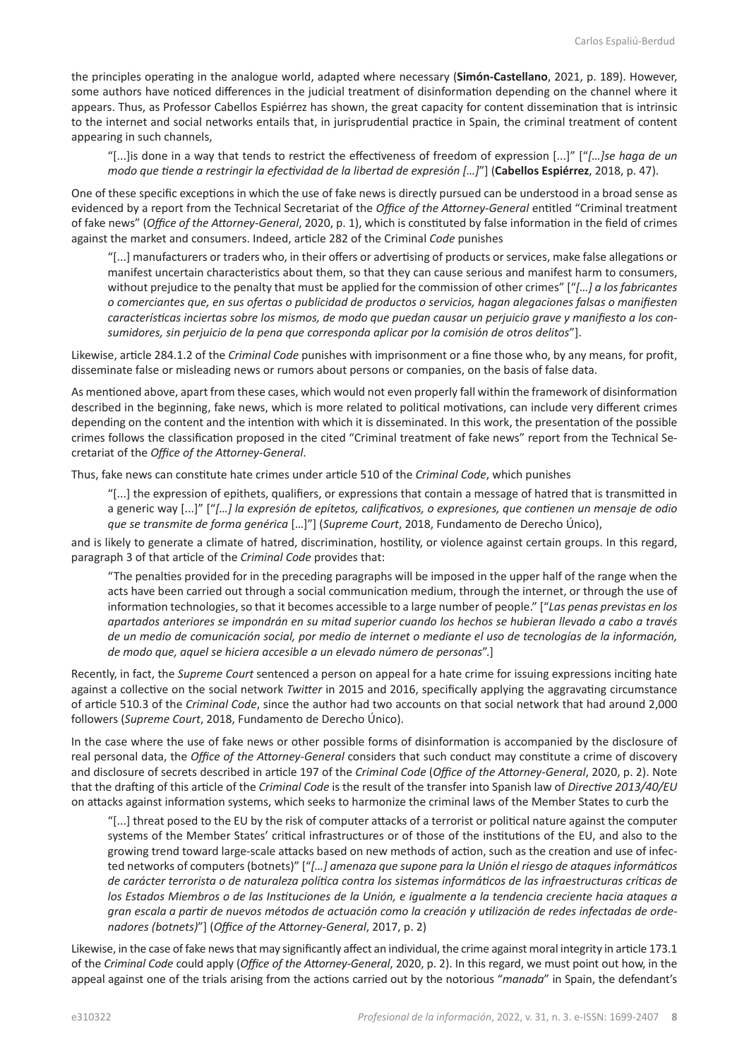the principles operating in the analogue world, adapted where necessary (**Simón-Castellano**, 2021, p. 189). However, some authors have noticed differences in the judicial treatment of disinformation depending on the channel where it appears. Thus, as Professor Cabellos Espiérrez has shown, the great capacity for content dissemination that is intrinsic to the internet and social networks entails that, in jurisprudential practice in Spain, the criminal treatment of content appearing in such channels,

"[...]is done in a way that tends to restrict the effectiveness of freedom of expression [...]" ["*[…]se haga de un modo que tiende a restringir la efectividad de la libertad de expresión […]*"] (**Cabellos Espiérrez**, 2018, p. 47).

One of these specific exceptions in which the use of fake news is directly pursued can be understood in a broad sense as evidenced by a report from the Technical Secretariat of the *Office of the Attorney-General* entitled "Criminal treatment of fake news" (*Office of the Attorney-General*, 2020, p. 1), which is constituted by false information in the field of crimes against the market and consumers. Indeed, article 282 of the Criminal *Code* punishes

"[...] manufacturers or traders who, in their offers or advertising of products or services, make false allegations or manifest uncertain characteristics about them, so that they can cause serious and manifest harm to consumers, without prejudice to the penalty that must be applied for the commission of other crimes" ["*[…] a los fabricantes o comerciantes que, en sus ofertas o publicidad de productos o servicios, hagan alegaciones falsas o manifiesten características inciertas sobre los mismos, de modo que puedan causar un perjuicio grave y manifiesto a los consumidores, sin perjuicio de la pena que corresponda aplicar por la comisión de otros delitos*"].

Likewise, article 284.1.2 of the *Criminal Code* punishes with imprisonment or a fine those who, by any means, for profit, disseminate false or misleading news or rumors about persons or companies, on the basis of false data.

As mentioned above, apart from these cases, which would not even properly fall within the framework of disinformation described in the beginning, fake news, which is more related to political motivations, can include very different crimes depending on the content and the intention with which it is disseminated. In this work, the presentation of the possible crimes follows the classification proposed in the cited "Criminal treatment of fake news" report from the Technical Secretariat of the *Office of the Attorney-General*.

Thus, fake news can constitute hate crimes under article 510 of the *Criminal Code*, which punishes

"[...] the expression of epithets, qualifiers, or expressions that contain a message of hatred that is transmitted in a generic way [...]" ["*[…] la expresión de epítetos, calificativos, o expresiones, que contienen un mensaje de odio que se transmite de forma genérica* […]"] (*Supreme Court*, 2018, Fundamento de Derecho Único),

and is likely to generate a climate of hatred, discrimination, hostility, or violence against certain groups. In this regard, paragraph 3 of that article of the *Criminal Code* provides that:

"The penalties provided for in the preceding paragraphs will be imposed in the upper half of the range when the acts have been carried out through a social communication medium, through the internet, or through the use of information technologies, so that it becomes accessible to a large number of people." ["*Las penas previstas en los apartados anteriores se impondrán en su mitad superior cuando los hechos se hubieran llevado a cabo a través de un medio de comunicación social, por medio de internet o mediante el uso de tecnologías de la información, de modo que, aquel se hiciera accesible a un elevado número de personas*".]

Recently, in fact, the *Supreme Court* sentenced a person on appeal for a hate crime for issuing expressions inciting hate against a collective on the social network *Twitter* in 2015 and 2016, specifically applying the aggravating circumstance of article 510.3 of the *Criminal Code*, since the author had two accounts on that social network that had around 2,000 followers (*Supreme Court*, 2018, Fundamento de Derecho Único).

In the case where the use of fake news or other possible forms of disinformation is accompanied by the disclosure of real personal data, the *Office of the Attorney-General* considers that such conduct may constitute a crime of discovery and disclosure of secrets described in article 197 of the *Criminal Code* (*Office of the Attorney-General*, 2020, p. 2). Note that the drafting of this article of the *Criminal Code* is the result of the transfer into Spanish law of *Directive 2013/40/EU* on attacks against information systems, which seeks to harmonize the criminal laws of the Member States to curb the

"[...] threat posed to the EU by the risk of computer attacks of a terrorist or political nature against the computer systems of the Member States' critical infrastructures or of those of the institutions of the EU, and also to the growing trend toward large-scale attacks based on new methods of action, such as the creation and use of infected networks of computers (botnets)" ["*[…] amenaza que supone para la Unión el riesgo de ataques informáticos de carácter terrorista o de naturaleza política contra los sistemas informáticos de las infraestructuras críticas de los Estados Miembros o de las Instituciones de la Unión, e igualmente a la tendencia creciente hacia ataques a gran escala a partir de nuevos métodos de actuación como la creación y utilización de redes infectadas de ordenadores (botnets)*"] (*Office of the Attorney-General*, 2017, p. 2)

Likewise, in the case of fake news that may significantly affect an individual, the crime against moral integrity in article 173.1 of the *Criminal Code* could apply (*Office of the Attorney-General*, 2020, p. 2). In this regard, we must point out how, in the appeal against one of the trials arising from the actions carried out by the notorious "*manada*" in Spain, the defendant's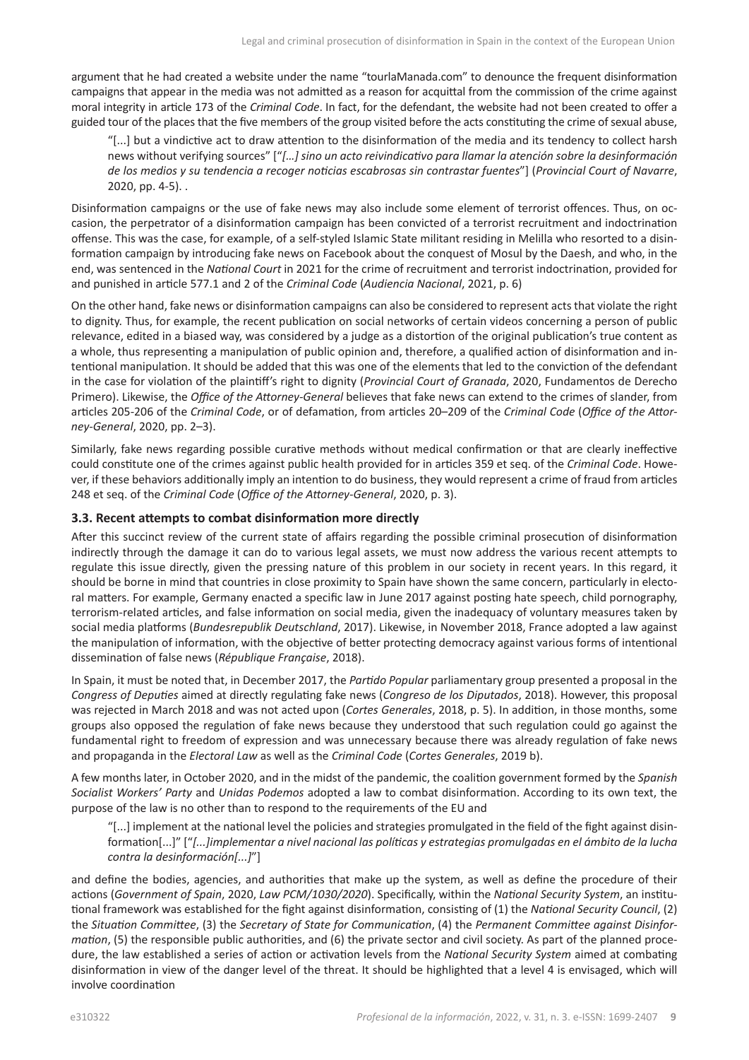argument that he had created a website under the name "tourlaManada.com" to denounce the frequent disinformation campaigns that appear in the media was not admitted as a reason for acquittal from the commission of the crime against moral integrity in article 173 of the *Criminal Code*. In fact, for the defendant, the website had not been created to offer a guided tour of the places that the five members of the group visited before the acts constituting the crime of sexual abuse,

"[...] but a vindictive act to draw attention to the disinformation of the media and its tendency to collect harsh news without verifying sources" ["*[…] sino un acto reivindicativo para llamar la atención sobre la desinformación de los medios y su tendencia a recoger noticias escabrosas sin contrastar fuentes*"] (*Provincial Court of Navarre*, 2020, pp. 4-5). .

Disinformation campaigns or the use of fake news may also include some element of terrorist offences. Thus, on occasion, the perpetrator of a disinformation campaign has been convicted of a terrorist recruitment and indoctrination offense. This was the case, for example, of a self-styled Islamic State militant residing in Melilla who resorted to a disinformation campaign by introducing fake news on Facebook about the conquest of Mosul by the Daesh, and who, in the end, was sentenced in the *National Court* in 2021 for the crime of recruitment and terrorist indoctrination, provided for and punished in article 577.1 and 2 of the *Criminal Code* (*Audiencia Nacional*, 2021, p. 6)

On the other hand, fake news or disinformation campaigns can also be considered to represent acts that violate the right to dignity. Thus, for example, the recent publication on social networks of certain videos concerning a person of public relevance, edited in a biased way, was considered by a judge as a distortion of the original publication's true content as a whole, thus representing a manipulation of public opinion and, therefore, a qualified action of disinformation and intentional manipulation. It should be added that this was one of the elements that led to the conviction of the defendant in the case for violation of the plaintiff's right to dignity (*Provincial Court of Granada*, 2020, Fundamentos de Derecho Primero). Likewise, the *Office of the Attorney-General* believes that fake news can extend to the crimes of slander, from articles 205-206 of the *Criminal Code*, or of defamation, from articles 20–209 of the *Criminal Code* (*Office of the Attorney-General*, 2020, pp. 2–3).

Similarly, fake news regarding possible curative methods without medical confirmation or that are clearly ineffective could constitute one of the crimes against public health provided for in articles 359 et seq. of the *Criminal Code*. However, if these behaviors additionally imply an intention to do business, they would represent a crime of fraud from articles 248 et seq. of the *Criminal Code* (*Office of the Attorney-General*, 2020, p. 3).

#### **3.3. Recent attempts to combat disinformation more directly**

After this succinct review of the current state of affairs regarding the possible criminal prosecution of disinformation indirectly through the damage it can do to various legal assets, we must now address the various recent attempts to regulate this issue directly, given the pressing nature of this problem in our society in recent years. In this regard, it should be borne in mind that countries in close proximity to Spain have shown the same concern, particularly in electoral matters. For example, Germany enacted a specific law in June 2017 against posting hate speech, child pornography, terrorism-related articles, and false information on social media, given the inadequacy of voluntary measures taken by social media platforms (*Bundesrepublik Deutschland*, 2017). Likewise, in November 2018, France adopted a law against the manipulation of information, with the objective of better protecting democracy against various forms of intentional dissemination of false news (*République Française*, 2018).

In Spain, it must be noted that, in December 2017, the *Partido Popular* parliamentary group presented a proposal in the *Congress of Deputies* aimed at directly regulating fake news (*Congreso de los Diputados*, 2018). However, this proposal was rejected in March 2018 and was not acted upon (*Cortes Generales*, 2018, p. 5). In addition, in those months, some groups also opposed the regulation of fake news because they understood that such regulation could go against the fundamental right to freedom of expression and was unnecessary because there was already regulation of fake news and propaganda in the *Electoral Law* as well as the *Criminal Code* (*Cortes Generales*, 2019 b).

A few months later, in October 2020, and in the midst of the pandemic, the coalition government formed by the *Spanish Socialist Workers' Party* and *Unidas Podemos* adopted a law to combat disinformation. According to its own text, the purpose of the law is no other than to respond to the requirements of the EU and

"[...] implement at the national level the policies and strategies promulgated in the field of the fight against disinformation[...]" ["*[...]implementar a nivel nacional las políticas y estrategias promulgadas en el ámbito de la lucha contra la desinformación[...]*"]

and define the bodies, agencies, and authorities that make up the system, as well as define the procedure of their actions (*Government of Spain*, 2020, *Law PCM/1030/2020*). Specifically, within the *National Security System*, an institutional framework was established for the fight against disinformation, consisting of (1) the *National Security Council*, (2) the *Situation Committee*, (3) the *Secretary of State for Communication*, (4) the *Permanent Committee against Disinformation*, (5) the responsible public authorities, and (6) the private sector and civil society. As part of the planned procedure, the law established a series of action or activation levels from the *National Security System* aimed at combating disinformation in view of the danger level of the threat. It should be highlighted that a level 4 is envisaged, which will involve coordination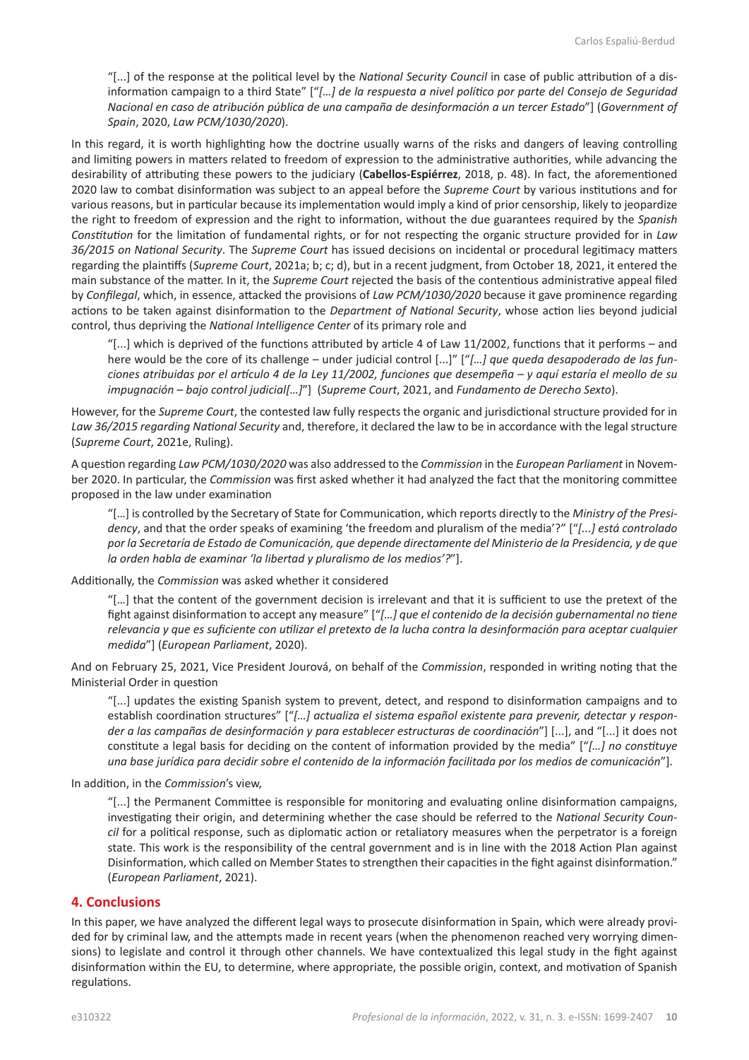"[...] of the response at the political level by the *National Security Council* in case of public attribution of a disinformation campaign to a third State" ["*[…] de la respuesta a nivel político por parte del Consejo de Seguridad Nacional en caso de atribución pública de una campaña de desinformación a un tercer Estado*"] (*Government of Spain*, 2020, *Law PCM/1030/2020*).

In this regard, it is worth highlighting how the doctrine usually warns of the risks and dangers of leaving controlling and limiting powers in matters related to freedom of expression to the administrative authorities, while advancing the desirability of attributing these powers to the judiciary (**Cabellos-Espiérrez**, 2018, p. 48). In fact, the aforementioned 2020 law to combat disinformation was subject to an appeal before the *Supreme Court* by various institutions and for various reasons, but in particular because its implementation would imply a kind of prior censorship, likely to jeopardize the right to freedom of expression and the right to information, without the due guarantees required by the *Spanish Constitution* for the limitation of fundamental rights, or for not respecting the organic structure provided for in *Law 36/2015 on National Security*. The *Supreme Court* has issued decisions on incidental or procedural legitimacy matters regarding the plaintiffs (*Supreme Court*, 2021a; b; c; d), but in a recent judgment, from October 18, 2021, it entered the main substance of the matter. In it, the *Supreme Court* rejected the basis of the contentious administrative appeal filed by *Confilegal*, which, in essence, attacked the provisions of *Law PCM/1030/2020* because it gave prominence regarding actions to be taken against disinformation to the *Department of National Security*, whose action lies beyond judicial control, thus depriving the *National Intelligence Center* of its primary role and

"[...] which is deprived of the functions attributed by article 4 of Law 11/2002, functions that it performs – and here would be the core of its challenge – under judicial control [...]" ["*[…] que queda desapoderado de las funciones atribuidas por el artículo 4 de la Ley 11/2002, funciones que desempeña – y aquí estaría el meollo de su impugnación – bajo control judicial[…]*"] (*Supreme Court*, 2021, and *Fundamento de Derecho Sexto*).

However, for the *Supreme Court*, the contested law fully respects the organic and jurisdictional structure provided for in *Law 36/2015 regarding National Security* and, therefore, it declared the law to be in accordance with the legal structure (*Supreme Court*, 2021e, Ruling).

A question regarding *Law PCM/1030/2020* was also addressed to the *Commission* in the *European Parliament* in November 2020. In particular, the *Commission* was first asked whether it had analyzed the fact that the monitoring committee proposed in the law under examination

"[…] is controlled by the Secretary of State for Communication, which reports directly to the *Ministry of the Presidency*, and that the order speaks of examining 'the freedom and pluralism of the media'?" ["*[...] está controlado por la Secretaría de Estado de Comunicación, que depende directamente del Ministerio de la Presidencia, y de que la orden habla de examinar 'la libertad y pluralismo de los medios'?*"].

Additionally, the *Commission* was asked whether it considered

"[…] that the content of the government decision is irrelevant and that it is sufficient to use the pretext of the fight against disinformation to accept any measure" ["*[…] que el contenido de la decisión gubernamental no tiene relevancia y que es suficiente con utilizar el pretexto de la lucha contra la desinformación para aceptar cualquier medida*"] (*European Parliament*, 2020).

And on February 25, 2021, Vice President Jourová, on behalf of the *Commission*, responded in writing noting that the Ministerial Order in question

"[...] updates the existing Spanish system to prevent, detect, and respond to disinformation campaigns and to establish coordination structures" ["*[…] actualiza el sistema español existente para prevenir, detectar y responder a las campañas de desinformación y para establecer estructuras de coordinación*"] [...], and "[...] it does not constitute a legal basis for deciding on the content of information provided by the media" ["*[…] no constituye una base jurídica para decidir sobre el contenido de la información facilitada por los medios de comunicación*"].

In addition, in the *Commission*'s view,

"[...] the Permanent Committee is responsible for monitoring and evaluating online disinformation campaigns, investigating their origin, and determining whether the case should be referred to the *National Security Council* for a political response, such as diplomatic action or retaliatory measures when the perpetrator is a foreign state. This work is the responsibility of the central government and is in line with the 2018 Action Plan against Disinformation, which called on Member States to strengthen their capacities in the fight against disinformation." (*European Parliament*, 2021).

#### **4. Conclusions**

In this paper, we have analyzed the different legal ways to prosecute disinformation in Spain, which were already provided for by criminal law, and the attempts made in recent years (when the phenomenon reached very worrying dimensions) to legislate and control it through other channels. We have contextualized this legal study in the fight against disinformation within the EU, to determine, where appropriate, the possible origin, context, and motivation of Spanish regulations.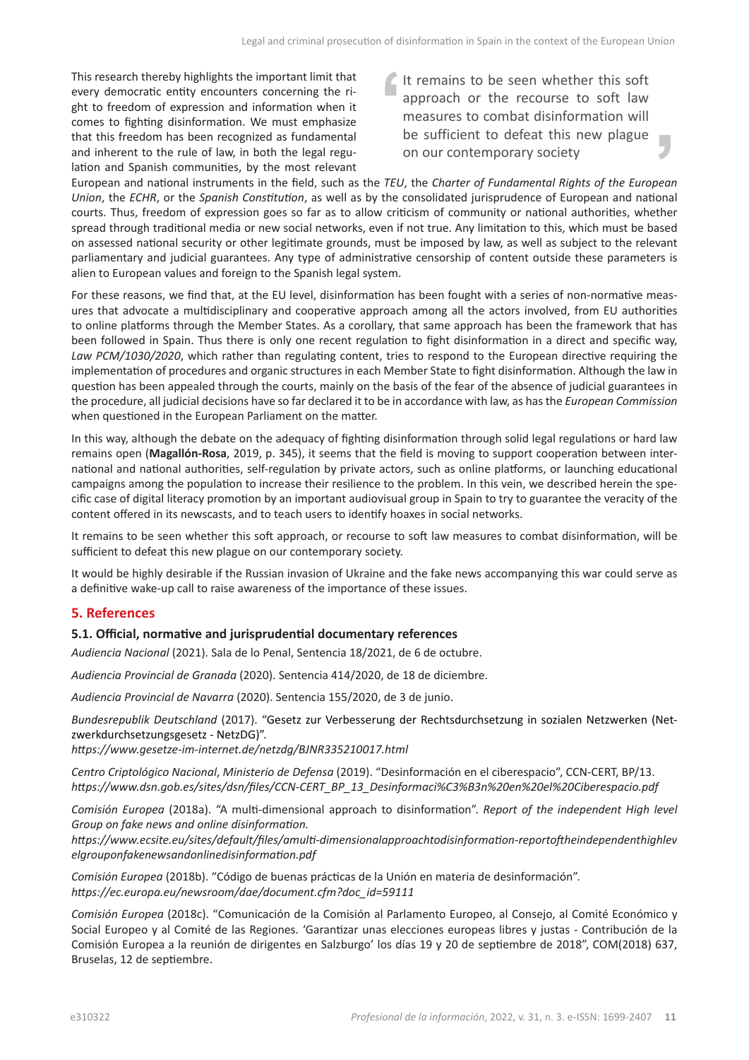This research thereby highlights the important limit that every democratic entity encounters concerning the right to freedom of expression and information when it comes to fighting disinformation. We must emphasize that this freedom has been recognized as fundamental and inherent to the rule of law, in both the legal regulation and Spanish communities, by the most relevant It remains to be seen whether this soft approach or the recourse to soft law measures to combat disinformation will be sufficient to defeat this new plague r. on our contemporary society

European and national instruments in the field, such as the *TEU*, the *Charter of Fundamental Rights of the European Union*, the *ECHR*, or the *Spanish Constitution*, as well as by the consolidated jurisprudence of European and national courts. Thus, freedom of expression goes so far as to allow criticism of community or national authorities, whether spread through traditional media or new social networks, even if not true. Any limitation to this, which must be based on assessed national security or other legitimate grounds, must be imposed by law, as well as subject to the relevant parliamentary and judicial guarantees. Any type of administrative censorship of content outside these parameters is alien to European values and foreign to the Spanish legal system.

For these reasons, we find that, at the EU level, disinformation has been fought with a series of non-normative measures that advocate a multidisciplinary and cooperative approach among all the actors involved, from EU authorities to online platforms through the Member States. As a corollary, that same approach has been the framework that has been followed in Spain. Thus there is only one recent regulation to fight disinformation in a direct and specific way, *Law PCM/1030/2020*, which rather than regulating content, tries to respond to the European directive requiring the implementation of procedures and organic structures in each Member State to fight disinformation. Although the law in question has been appealed through the courts, mainly on the basis of the fear of the absence of judicial guarantees in the procedure, all judicial decisions have so far declared it to be in accordance with law, as has the *European Commission* when questioned in the European Parliament on the matter.

In this way, although the debate on the adequacy of fighting disinformation through solid legal regulations or hard law remains open (**Magallón-Rosa**, 2019, p. 345), it seems that the field is moving to support cooperation between international and national authorities, self-regulation by private actors, such as online platforms, or launching educational campaigns among the population to increase their resilience to the problem. In this vein, we described herein the specific case of digital literacy promotion by an important audiovisual group in Spain to try to guarantee the veracity of the content offered in its newscasts, and to teach users to identify hoaxes in social networks.

It remains to be seen whether this soft approach, or recourse to soft law measures to combat disinformation, will be sufficient to defeat this new plague on our contemporary society.

It would be highly desirable if the Russian invasion of Ukraine and the fake news accompanying this war could serve as a definitive wake-up call to raise awareness of the importance of these issues.

# **5. References**

#### **5.1. Official, normative and jurisprudential documentary references**

*Audiencia Nacional* (2021). Sala de lo Penal, Sentencia 18/2021, de 6 de octubre.

*Audiencia Provincial de Granada* (2020). Sentencia 414/2020, de 18 de diciembre.

*Audiencia Provincial de Navarra* (2020). Sentencia 155/2020, de 3 de junio.

*Bundesrepublik Deutschland* (2017). "Gesetz zur Verbesserung der Rechtsdurchsetzung in sozialen Netzwerken (Netzwerkdurchsetzungsgesetz - NetzDG)".

*<https://www.gesetze-im-internet.de/netzdg/BJNR335210017.html>*

*Centro Criptológico Nacional*, *Ministerio de Defensa* (2019). "Desinformación en el ciberespacio", CCN-CERT, BP/13. *[https://www.dsn.gob.es/sites/dsn/files/CCN-CERT\\_BP\\_13\\_Desinformaci%C3%B3n%20en%20el%20Ciberespacio.pdf](https://www.dsn.gob.es/sites/dsn/files/CCN-CERT_BP_13_Desinformaci%C3%B3n%20en%20el%20Ciberespacio.pdf)*

*Comisión Europea* (2018a). "A multi-dimensional approach to disinformation". *Report of the independent High level Group on fake news and online disinformation.*

*[https://www.ecsite.eu/sites/default/files/amulti-dimensionalapproachtodisinformation-reportoftheindependenthighlev](https://www.ecsite.eu/sites/default/files/amulti-dimensionalapproachtodisinformation-reportoftheindependenthighlevelgrouponfakenewsandonlinedisinformation.pdf) [elgrouponfakenewsandonlinedisinformation.pdf](https://www.ecsite.eu/sites/default/files/amulti-dimensionalapproachtodisinformation-reportoftheindependenthighlevelgrouponfakenewsandonlinedisinformation.pdf)*

*Comisión Europea* (2018b). "Código de buenas prácticas de la Unión en materia de desinformación". *[https://ec.europa.eu/newsroom/dae/document.cfm?doc\\_id=59111](https://ec.europa.eu/newsroom/dae/document.cfm?doc_id=59111)*

*Comisión Europea* (2018c). "Comunicación de la Comisión al Parlamento Europeo, al Consejo, al Comité Económico y Social Europeo y al Comité de las Regiones. 'Garantizar unas elecciones europeas libres y justas - Contribución de la Comisión Europea a la reunión de dirigentes en Salzburgo' los días 19 y 20 de septiembre de 2018", COM(2018) 637, Bruselas, 12 de septiembre.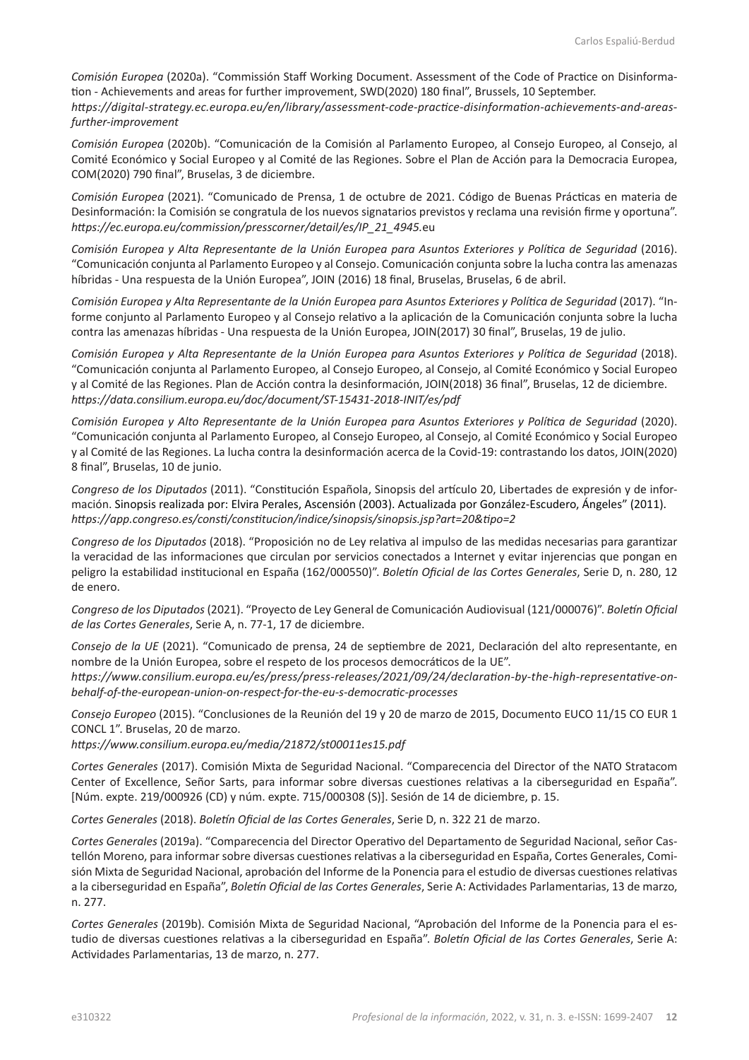*Comisión Europea* (2020a). "Commissión Staff Working Document. Assessment of the Code of Practice on Disinformation - Achievements and areas for further improvement, SWD(2020) 180 final", Brussels, 10 September. *[https://digital-strategy.ec.europa.eu/en/library/assessment-code-practice-disinformation-achievements-and-areas-](https://digital-strategy.ec.europa.eu/en/library/assessment-code-practice-disinformation-achievements-and-areas-further-improvement)*

*Comisión Europea* (2020b). "Comunicación de la Comisión al Parlamento Europeo, al Consejo Europeo, al Consejo, al Comité Económico y Social Europeo y al Comité de las Regiones. Sobre el Plan de Acción para la Democracia Europea, COM(2020) 790 final", Bruselas, 3 de diciembre.

*Comisión Europea* (2021). "Comunicado de Prensa, 1 de octubre de 2021. Código de Buenas Prácticas en materia de Desinformación: la Comisión se congratula de los nuevos signatarios previstos y reclama una revisión firme y oportuna". *[https://ec.europa.eu/commission/presscorner/detail/es/IP\\_21\\_4945.](https://ec.europa.eu/commission/presscorner/detail/es/IP_21_4945.eu)*eu

*Comisión Europea y Alta Representante de la Unión Europea para Asuntos Exteriores y Política de Seguridad* (2016). "Comunicación conjunta al Parlamento Europeo y al Consejo. Comunicación conjunta sobre la lucha contra las amenazas híbridas - Una respuesta de la Unión Europea", JOIN (2016) 18 final, Bruselas, Bruselas, 6 de abril.

*Comisión Europea y Alta Representante de la Unión Europea para Asuntos Exteriores y Política de Seguridad* (2017). "Informe conjunto al Parlamento Europeo y al Consejo relativo a la aplicación de la Comunicación conjunta sobre la lucha contra las amenazas híbridas - Una respuesta de la Unión Europea, JOIN(2017) 30 final", Bruselas, 19 de julio.

*Comisión Europea y Alta Representante de la Unión Europea para Asuntos Exteriores y Política de Seguridad* (2018). "Comunicación conjunta al Parlamento Europeo, al Consejo Europeo, al Consejo, al Comité Económico y Social Europeo y al Comité de las Regiones. Plan de Acción contra la desinformación, JOIN(2018) 36 final", Bruselas, 12 de diciembre. *<https://data.consilium.europa.eu/doc/document/ST-15431-2018-INIT/es/pdf>*

*Comisión Europea y Alto Representante de la Unión Europea para Asuntos Exteriores y Política de Seguridad* (2020). "Comunicación conjunta al Parlamento Europeo, al Consejo Europeo, al Consejo, al Comité Económico y Social Europeo y al Comité de las Regiones. La lucha contra la desinformación acerca de la Covid-19: contrastando los datos, JOIN(2020) 8 final", Bruselas, 10 de junio.

*Congreso de los Diputados* (2011). "Constitución Española, Sinopsis del artículo 20, Libertades de expresión y de información. Sinopsis realizada por: Elvira Perales, Ascensión (2003). Actualizada por González-Escudero, Ángeles" (2011). *<https://app.congreso.es/consti/constitucion/indice/sinopsis/sinopsis.jsp?art=20&tipo=2>*

*Congreso de los Diputados* (2018). "Proposición no de Ley relativa al impulso de las medidas necesarias para garantizar la veracidad de las informaciones que circulan por servicios conectados a Internet y evitar injerencias que pongan en peligro la estabilidad institucional en España (162/000550)". *Boletín Oficial de las Cortes Generales*, Serie D, n. 280, 12 de enero.

*Congreso de los Diputados* (2021). "Proyecto de Ley General de Comunicación Audiovisual (121/000076)". *Boletín Oficial de las Cortes Generales*, Serie A, n. 77-1, 17 de diciembre.

*Consejo de la UE* (2021). "Comunicado de prensa, 24 de septiembre de 2021, Declaración del alto representante, en nombre de la Unión Europea, sobre el respeto de los procesos democráticos de la UE".

*[https://www.consilium.europa.eu/es/press/press-releases/2021/09/24/declaration-by-the-high-representative-on](https://www.consilium.europa.eu/es/press/press-releases/2021/09/24/declaration-by-the-high-representative-on-behalf-of-the-european-union-on-respect-for-the-eu-s-democratic-processes)[behalf-of-the-european-union-on-respect-for-the-eu-s-democratic-processes](https://www.consilium.europa.eu/es/press/press-releases/2021/09/24/declaration-by-the-high-representative-on-behalf-of-the-european-union-on-respect-for-the-eu-s-democratic-processes)*

*Consejo Europeo* (2015). "Conclusiones de la Reunión del 19 y 20 de marzo de 2015, Documento EUCO 11/15 CO EUR 1 CONCL 1". Bruselas, 20 de marzo.

*<https://www.consilium.europa.eu/media/21872/st00011es15.pdf>*

*Cortes Generales* (2017). Comisión Mixta de Seguridad Nacional. "Comparecencia del Director of the NATO Stratacom Center of Excellence, Señor Sarts, para informar sobre diversas cuestiones relativas a la ciberseguridad en España". [Núm. expte. 219/000926 (CD) y núm. expte. 715/000308 (S)]. Sesión de 14 de diciembre, p. 15.

*Cortes Generales* (2018). *Boletín Oficial de las Cortes Generales*, Serie D, n. 322 21 de marzo.

*Cortes Generales* (2019a). "Comparecencia del Director Operativo del Departamento de Seguridad Nacional, señor Castellón Moreno, para informar sobre diversas cuestiones relativas a la ciberseguridad en España, Cortes Generales, Comisión Mixta de Seguridad Nacional, aprobación del Informe de la Ponencia para el estudio de diversas cuestiones relativas a la ciberseguridad en España", *Boletín Oficial de las Cortes Generales*, Serie A: Actividades Parlamentarias, 13 de marzo, n. 277.

*Cortes Generales* (2019b). Comisión Mixta de Seguridad Nacional, "Aprobación del Informe de la Ponencia para el estudio de diversas cuestiones relativas a la ciberseguridad en España". *Boletín Oficial de las Cortes Generales*, Serie A: Actividades Parlamentarias, 13 de marzo, n. 277.

*[further-improvement](https://digital-strategy.ec.europa.eu/en/library/assessment-code-practice-disinformation-achievements-and-areas-further-improvement)*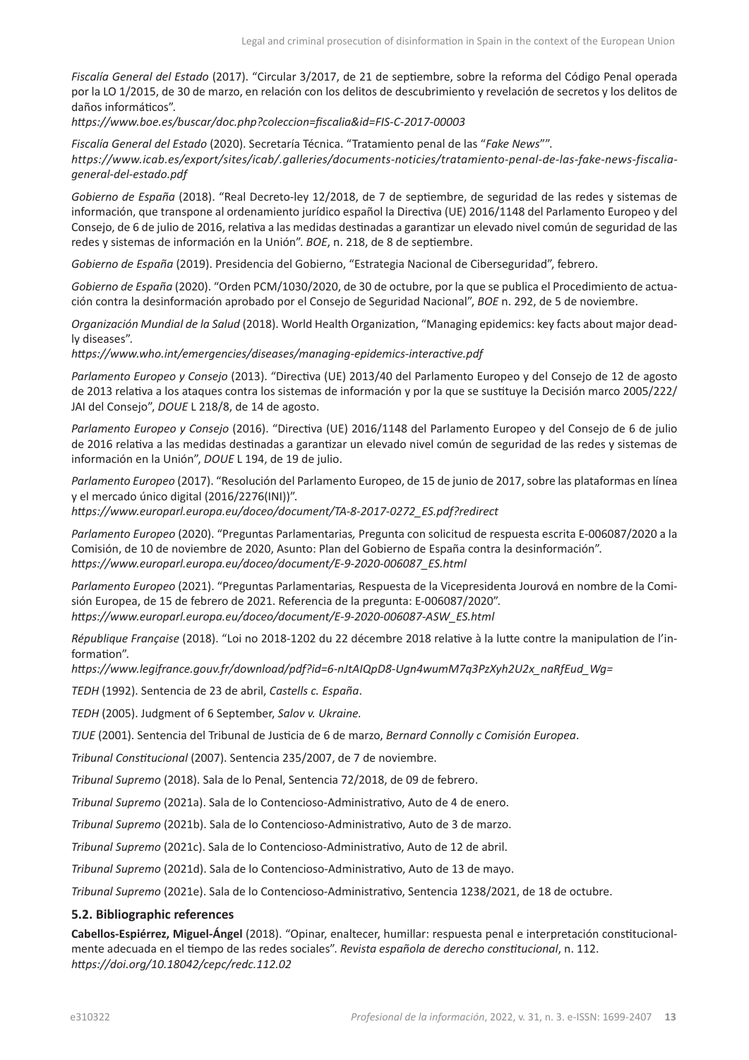*Fiscalía General del Estado* (2017). "Circular 3/2017, de 21 de septiembre, sobre la reforma del Código Penal operada por la LO 1/2015, de 30 de marzo, en relación con los delitos de descubrimiento y revelación de secretos y los delitos de daños informáticos".

*<https://www.boe.es/buscar/doc.php?coleccion=fiscalia&id=FIS-C-2017-00003>*

*Fiscalía General del Estado* (2020). Secretaría Técnica. "Tratamiento penal de las "*Fake News*"". *[https://www.icab.es/export/sites/icab/.galleries/documents-noticies/tratamiento-penal-de-las-fake-news-fiscalia](https://www.icab.es/export/sites/icab/.galleries/documents-noticies/tratamiento-penal-de-las-fake-news-fiscalia-general-del-estado.pdf)[general-del-estado.pdf](https://www.icab.es/export/sites/icab/.galleries/documents-noticies/tratamiento-penal-de-las-fake-news-fiscalia-general-del-estado.pdf)*

*Gobierno de España* (2018). "Real Decreto-ley 12/2018, de 7 de septiembre, de seguridad de las redes y sistemas de información, que transpone al ordenamiento jurídico español la Directiva (UE) 2016/1148 del Parlamento Europeo y del Consejo, de 6 de julio de 2016, relativa a las medidas destinadas a garantizar un elevado nivel común de seguridad de las redes y sistemas de información en la Unión". *BOE*, n. 218, de 8 de septiembre.

*Gobierno de España* (2019). Presidencia del Gobierno, "Estrategia Nacional de Ciberseguridad", febrero.

*Gobierno de España* (2020). "Orden PCM/1030/2020, de 30 de octubre, por la que se publica el Procedimiento de actuación contra la desinformación aprobado por el Consejo de Seguridad Nacional", *BOE* n. 292, de 5 de noviembre.

*Organización Mundial de la Salud* (2018). World Health Organization, "Managing epidemics: key facts about major deadly diseases".

*<https://www.who.int/emergencies/diseases/managing-epidemics-interactive.pdf>*

*Parlamento Europeo y Consejo* (2013). "Directiva (UE) 2013/40 del Parlamento Europeo y del Consejo de 12 de agosto de 2013 relativa a los ataques contra los sistemas de información y por la que se sustituye la Decisión marco 2005/222/ JAI del Consejo", *DOUE* L 218/8, de 14 de agosto.

*Parlamento Europeo y Consejo* (2016). "Directiva (UE) 2016/1148 del Parlamento Europeo y del Consejo de 6 de julio de 2016 relativa a las medidas destinadas a garantizar un elevado nivel común de seguridad de las redes y sistemas de información en la Unión", *DOUE* L 194, de 19 de julio.

*Parlamento Europeo* (2017). "Resolución del Parlamento Europeo, de 15 de junio de 2017, sobre las plataformas en línea y el mercado único digital (2016/2276(INI))".

*[https://www.europarl.europa.eu/doceo/document/TA-8-2017-0272\\_ES.pdf?redirect](https://www.europarl.europa.eu/doceo/document/TA-8-2017-0272_ES.pdf?redirect)*

*Parlamento Europeo* (2020). "Preguntas Parlamentarias*,* Pregunta con solicitud de respuesta escrita E-006087/2020 a la Comisión, de 10 de noviembre de 2020, Asunto: Plan del Gobierno de España contra la desinformación". *[https://www.europarl.europa.eu/doceo/document/E-9-2020-006087\\_ES.html](https://www.europarl.europa.eu/doceo/document/E-9-2020-006087_ES.html)*

*Parlamento Europeo* (2021). "Preguntas Parlamentarias*,* Respuesta de la Vicepresidenta Jourová en nombre de la Comisión Europea, de 15 de febrero de 2021. Referencia de la pregunta: E-006087/2020". *[https://www.europarl.europa.eu/doceo/document/E-9-2020-006087-ASW\\_ES.html](https://www.europarl.europa.eu/doceo/document/E-9-2020-006087-ASW_ES.html)*

*République Française* (2018). "Loi no 2018-1202 du 22 décembre 2018 relative à la lutte contre la manipulation de l'information".

*[https://www.legifrance.gouv.fr/download/pdf?id=6-nJtAIQpD8-Ugn4wumM7q3PzXyh2U2x\\_naRfEud\\_Wg=](https://www.legifrance.gouv.fr/download/pdf?id=6-nJtAIQpD8-Ugn4wumM7q3PzXyh2U2x_naRfEud_Wg=)*

*TEDH* (1992). Sentencia de 23 de abril, *Castells c. España*.

*TEDH* (2005). Judgment of 6 September, *Salov v. Ukraine.*

*TJUE* (2001). Sentencia del Tribunal de Justicia de 6 de marzo, *Bernard Connolly c Comisión Europea*.

*Tribunal Constitucional* (2007). Sentencia 235/2007, de 7 de noviembre.

*Tribunal Supremo* (2018). Sala de lo Penal, Sentencia 72/2018, de 09 de febrero.

*Tribunal Supremo* (2021a). Sala de lo Contencioso-Administrativo, Auto de 4 de enero.

*Tribunal Supremo* (2021b). Sala de lo Contencioso-Administrativo, Auto de 3 de marzo.

*Tribunal Supremo* (2021c). Sala de lo Contencioso-Administrativo, Auto de 12 de abril.

*Tribunal Supremo* (2021d). Sala de lo Contencioso-Administrativo, Auto de 13 de mayo.

*Tribunal Supremo* (2021e). Sala de lo Contencioso-Administrativo, Sentencia 1238/2021, de 18 de octubre.

#### **5.2. Bibliographic references**

**Cabellos-Espiérrez, Miguel-Ángel** (2018). "Opinar, enaltecer, humillar: respuesta penal e interpretación constitucionalmente adecuada en el tiempo de las redes sociales". *Revista española de derecho constitucional*, n. 112. *<https://doi.org/10.18042/cepc/redc.112.02>*